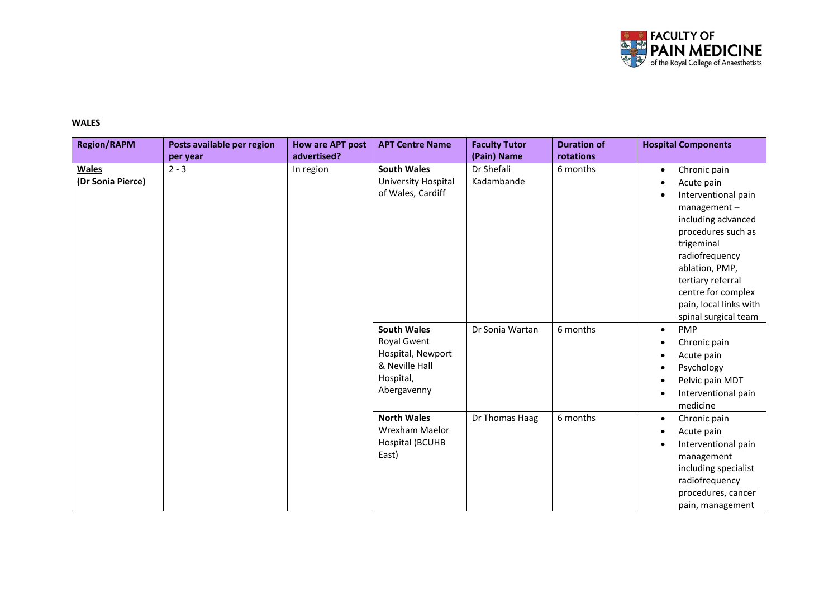

## **WALES**

| <b>Region/RAPM</b>                | Posts available per region | <b>How are APT post</b> | <b>APT Centre Name</b>                                                                               | <b>Faculty Tutor</b>     | <b>Duration of</b> | <b>Hospital Components</b>                                                                                                                                                                                                                                                                         |  |
|-----------------------------------|----------------------------|-------------------------|------------------------------------------------------------------------------------------------------|--------------------------|--------------------|----------------------------------------------------------------------------------------------------------------------------------------------------------------------------------------------------------------------------------------------------------------------------------------------------|--|
|                                   | per year                   | advertised?             |                                                                                                      | (Pain) Name              | rotations          |                                                                                                                                                                                                                                                                                                    |  |
| <b>Wales</b><br>(Dr Sonia Pierce) | $2 - 3$                    | In region               | <b>South Wales</b><br>University Hospital<br>of Wales, Cardiff                                       | Dr Shefali<br>Kadambande | 6 months           | Chronic pain<br>$\bullet$<br>Acute pain<br>$\bullet$<br>Interventional pain<br>$\bullet$<br>management-<br>including advanced<br>procedures such as<br>trigeminal<br>radiofrequency<br>ablation, PMP,<br>tertiary referral<br>centre for complex<br>pain, local links with<br>spinal surgical team |  |
|                                   |                            |                         | <b>South Wales</b><br>Royal Gwent<br>Hospital, Newport<br>& Neville Hall<br>Hospital,<br>Abergavenny | Dr Sonia Wartan          | 6 months           | <b>PMP</b><br>$\bullet$<br>Chronic pain<br>$\epsilon$<br>Acute pain<br>$\bullet$<br>Psychology<br>$\bullet$<br>Pelvic pain MDT<br>$\bullet$<br>Interventional pain<br>$\bullet$<br>medicine                                                                                                        |  |
|                                   |                            |                         | <b>North Wales</b><br>Wrexham Maelor<br>Hospital (BCUHB<br>East)                                     | Dr Thomas Haag           | 6 months           | Chronic pain<br>$\bullet$<br>Acute pain<br>$\bullet$<br>Interventional pain<br>$\bullet$<br>management<br>including specialist<br>radiofrequency<br>procedures, cancer<br>pain, management                                                                                                         |  |